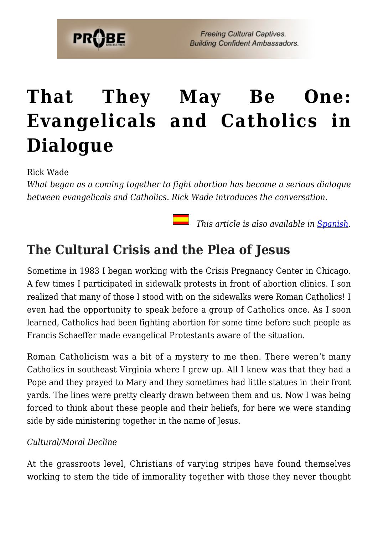# **[That They May Be One:](https://probe.org/that-they-may-be-one-evangelicals-and-catholics-in-dialogue/) [Evangelicals and Catholics in](https://probe.org/that-they-may-be-one-evangelicals-and-catholics-in-dialogue/) [Dialogue](https://probe.org/that-they-may-be-one-evangelicals-and-catholics-in-dialogue/)**

Rick Wade

*What began as a coming together to fight abortion has become a serious dialogue between evangelicals and Catholics. Rick Wade introduces the conversation.*

 *This article is also available in [Spanish.](https://ministeriosprobe.org/docs/sean-uno.html)*

# **The Cultural Crisis and the Plea of Jesus**

Sometime in 1983 I began working with the Crisis Pregnancy Center in Chicago. A few times I participated in sidewalk protests in front of abortion clinics. I son realized that many of those I stood with on the sidewalks were Roman Catholics! I even had the opportunity to speak before a group of Catholics once. As I soon learned, Catholics had been fighting abortion for some time before such people as Francis Schaeffer made evangelical Protestants aware of the situation.

Roman Catholicism was a bit of a mystery to me then. There weren't many Catholics in southeast Virginia where I grew up. All I knew was that they had a Pope and they prayed to Mary and they sometimes had little statues in their front yards. The lines were pretty clearly drawn between them and us. Now I was being forced to think about these people and their beliefs, for here we were standing side by side ministering together in the name of Jesus.

## *Cultural/Moral Decline*

At the grassroots level, Christians of varying stripes have found themselves working to stem the tide of immorality together with those they never thought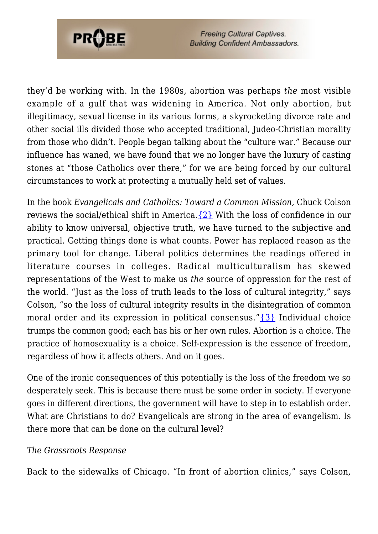

they'd be working with. In the 1980s, abortion was perhaps *the* most visible example of a gulf that was widening in America. Not only abortion, but illegitimacy, sexual license in its various forms, a skyrocketing divorce rate and other social ills divided those who accepted traditional, Judeo-Christian morality from those who didn't. People began talking about the "culture war." Because our influence has waned, we have found that we no longer have the luxury of casting stones at "those Catholics over there," for we are being forced by our cultural circumstances to work at protecting a mutually held set of values.

In the book *Evangelicals and Catholics: Toward a Common Mission,* Chuck Colson reviews the social/ethical shift in America.[{2}](#page-17-0) With the loss of confidence in our ability to know universal, objective truth, we have turned to the subjective and practical. Getting things done is what counts. Power has replaced reason as the primary tool for change. Liberal politics determines the readings offered in literature courses in colleges. Radical multiculturalism has skewed representations of the West to make us *the* source of oppression for the rest of the world. "Just as the loss of truth leads to the loss of cultural integrity," says Colson, "so the loss of cultural integrity results in the disintegration of common moral order and its expression in political consensus."[{3}](#page--1-0) Individual choice trumps the common good; each has his or her own rules. Abortion is a choice. The practice of homosexuality is a choice. Self-expression is the essence of freedom, regardless of how it affects others. And on it goes.

One of the ironic consequences of this potentially is the loss of the freedom we so desperately seek. This is because there must be some order in society. If everyone goes in different directions, the government will have to step in to establish order. What are Christians to do? Evangelicals are strong in the area of evangelism. Is there more that can be done on the cultural level?

#### *The Grassroots Response*

Back to the sidewalks of Chicago. "In front of abortion clinics," says Colson,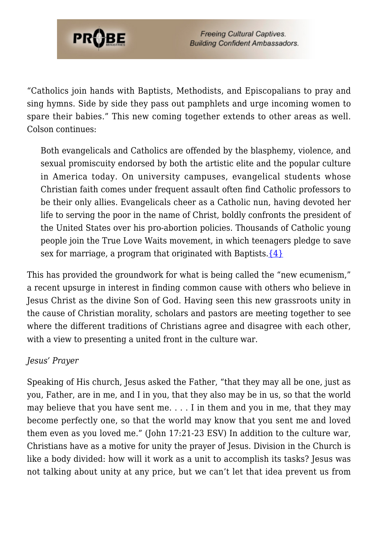

"Catholics join hands with Baptists, Methodists, and Episcopalians to pray and sing hymns. Side by side they pass out pamphlets and urge incoming women to spare their babies." This new coming together extends to other areas as well. Colson continues:

Both evangelicals and Catholics are offended by the blasphemy, violence, and sexual promiscuity endorsed by both the artistic elite and the popular culture in America today. On university campuses, evangelical students whose Christian faith comes under frequent assault often find Catholic professors to be their only allies. Evangelicals cheer as a Catholic nun, having devoted her life to serving the poor in the name of Christ, boldly confronts the president of the United States over his pro-abortion policies. Thousands of Catholic young people join the True Love Waits movement, in which teenagers pledge to save sex for marriage, a program that originated with Baptists. $\{4\}$ 

This has provided the groundwork for what is being called the "new ecumenism," a recent upsurge in interest in finding common cause with others who believe in Jesus Christ as the divine Son of God. Having seen this new grassroots unity in the cause of Christian morality, scholars and pastors are meeting together to see where the different traditions of Christians agree and disagree with each other, with a view to presenting a united front in the culture war.

#### *Jesus' Prayer*

Speaking of His church, Jesus asked the Father, "that they may all be one, just as you, Father, are in me, and I in you, that they also may be in us, so that the world may believe that you have sent me. . . . I in them and you in me, that they may become perfectly one, so that the world may know that you sent me and loved them even as you loved me." (John 17:21-23 ESV) In addition to the culture war, Christians have as a motive for unity the prayer of Jesus. Division in the Church is like a body divided: how will it work as a unit to accomplish its tasks? Jesus was not talking about unity at any price, but we can't let that idea prevent us from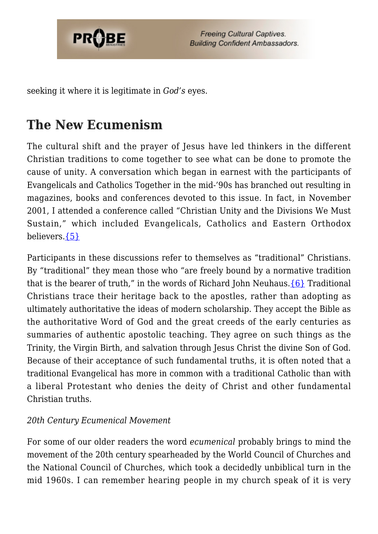

seeking it where it is legitimate in *God's* eyes.

# **The New Ecumenism**

The cultural shift and the prayer of Jesus have led thinkers in the different Christian traditions to come together to see what can be done to promote the cause of unity. A conversation which began in earnest with the participants of Evangelicals and Catholics Together in the mid-'90s has branched out resulting in magazines, books and conferences devoted to this issue. In fact, in November 2001, I attended a conference called "Christian Unity and the Divisions We Must Sustain," which included Evangelicals, Catholics and Eastern Orthodox believers[.{5}](#page-17-2)

Participants in these discussions refer to themselves as "traditional" Christians. By "traditional" they mean those who "are freely bound by a normative tradition that is the bearer of truth," in the words of Richard John Neuhaus. $\{6\}$  Traditional Christians trace their heritage back to the apostles, rather than adopting as ultimately authoritative the ideas of modern scholarship. They accept the Bible as the authoritative Word of God and the great creeds of the early centuries as summaries of authentic apostolic teaching. They agree on such things as the Trinity, the Virgin Birth, and salvation through Jesus Christ the divine Son of God. Because of their acceptance of such fundamental truths, it is often noted that a traditional Evangelical has more in common with a traditional Catholic than with a liberal Protestant who denies the deity of Christ and other fundamental Christian truths.

## *20th Century Ecumenical Movement*

For some of our older readers the word *ecumenical* probably brings to mind the movement of the 20th century spearheaded by the World Council of Churches and the National Council of Churches, which took a decidedly unbiblical turn in the mid 1960s. I can remember hearing people in my church speak of it is very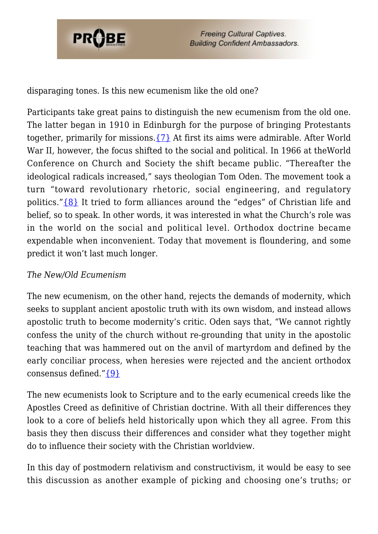

disparaging tones. Is this new ecumenism like the old one?

Participants take great pains to distinguish the new ecumenism from the old one. The latter began in 1910 in Edinburgh for the purpose of bringing Protestants together, primarily for missions[.{7}](#page-18-0) At first its aims were admirable. After World War II, however, the focus shifted to the social and political. In 1966 at theWorld Conference on Church and Society the shift became public. "Thereafter the ideological radicals increased," says theologian Tom Oden. The movement took a turn "toward revolutionary rhetoric, social engineering, and regulatory politics."[{8}](#page-18-1) It tried to form alliances around the "edges" of Christian life and belief, so to speak. In other words, it was interested in what the Church's role was in the world on the social and political level. Orthodox doctrine became expendable when inconvenient. Today that movement is floundering, and some predict it won't last much longer.

## *The New/Old Ecumenism*

The new ecumenism, on the other hand, rejects the demands of modernity, which seeks to supplant ancient apostolic truth with its own wisdom, and instead allows apostolic truth to become modernity's critic. Oden says that, "We cannot rightly confess the unity of the church without re-grounding that unity in the apostolic teaching that was hammered out on the anvil of martyrdom and defined by the early conciliar process, when heresies were rejected and the ancient orthodox consensus defined.["{9}](#page-18-2)

The new ecumenists look to Scripture and to the early ecumenical creeds like the Apostles Creed as definitive of Christian doctrine. With all their differences they look to a core of beliefs held historically upon which they all agree. From this basis they then discuss their differences and consider what they together might do to influence their society with the Christian worldview.

In this day of postmodern relativism and constructivism, it would be easy to see this discussion as another example of picking and choosing one's truths; or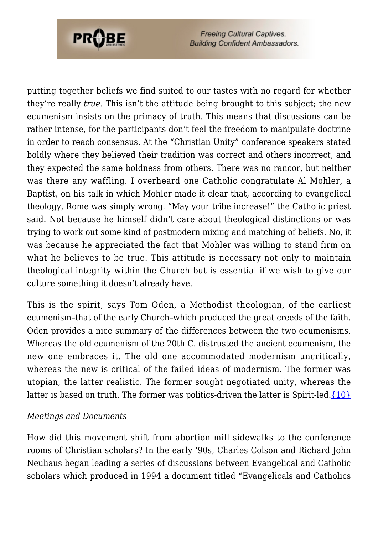

putting together beliefs we find suited to our tastes with no regard for whether they're really *true.* This isn't the attitude being brought to this subject; the new ecumenism insists on the primacy of truth. This means that discussions can be rather intense, for the participants don't feel the freedom to manipulate doctrine in order to reach consensus. At the "Christian Unity" conference speakers stated boldly where they believed their tradition was correct and others incorrect, and they expected the same boldness from others. There was no rancor, but neither was there any waffling. I overheard one Catholic congratulate Al Mohler, a Baptist, on his talk in which Mohler made it clear that, according to evangelical theology, Rome was simply wrong. "May your tribe increase!" the Catholic priest said. Not because he himself didn't care about theological distinctions or was trying to work out some kind of postmodern mixing and matching of beliefs. No, it was because he appreciated the fact that Mohler was willing to stand firm on what he believes to be true. This attitude is necessary not only to maintain theological integrity within the Church but is essential if we wish to give our culture something it doesn't already have.

This is the spirit, says Tom Oden, a Methodist theologian, of the earliest ecumenism–that of the early Church–which produced the great creeds of the faith. Oden provides a nice summary of the differences between the two ecumenisms. Whereas the old ecumenism of the 20th C. distrusted the ancient ecumenism, the new one embraces it. The old one accommodated modernism uncritically, whereas the new is critical of the failed ideas of modernism. The former was utopian, the latter realistic. The former sought negotiated unity, whereas the latter is based on truth. The former was politics-driven the latter is Spirit-led.  $\{10\}$ 

#### *Meetings and Documents*

How did this movement shift from abortion mill sidewalks to the conference rooms of Christian scholars? In the early '90s, Charles Colson and Richard John Neuhaus began leading a series of discussions between Evangelical and Catholic scholars which produced in 1994 a document titled "Evangelicals and Catholics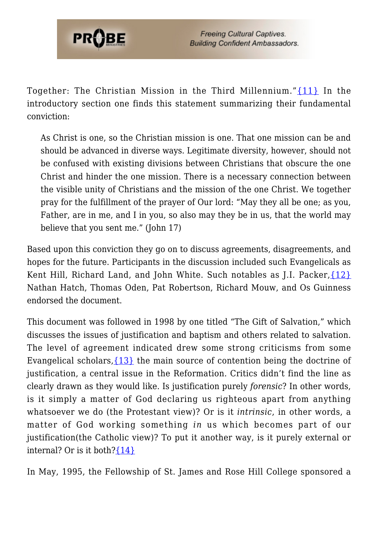

Together: The Christian Mission in the Third Millennium." $\{11\}$  In the introductory section one finds this statement summarizing their fundamental conviction:

As Christ is one, so the Christian mission is one. That one mission can be and should be advanced in diverse ways. Legitimate diversity, however, should not be confused with existing divisions between Christians that obscure the one Christ and hinder the one mission. There is a necessary connection between the visible unity of Christians and the mission of the one Christ. We together pray for the fulfillment of the prayer of Our lord: "May they all be one; as you, Father, are in me, and I in you, so also may they be in us, that the world may believe that you sent me." (John 17)

Based upon this conviction they go on to discuss agreements, disagreements, and hopes for the future. Participants in the discussion included such Evangelicals as Kent Hill, Richard Land, and John White. Such notables as J.I. Packer,  $\{12\}$ Nathan Hatch, Thomas Oden, Pat Robertson, Richard Mouw, and Os Guinness endorsed the document.

This document was followed in 1998 by one titled "The Gift of Salvation," which discusses the issues of justification and baptism and others related to salvation. The level of agreement indicated drew some strong criticisms from some Evangelical scholars,  $\{13\}$  the main source of contention being the doctrine of justification, a central issue in the Reformation. Critics didn't find the line as clearly drawn as they would like. Is justification purely *forensic*? In other words, is it simply a matter of God declaring us righteous apart from anything whatsoever we do (the Protestant view)? Or is it *intrinsic*, in other words, a matter of God working something *in* us which becomes part of our justification(the Catholic view)? To put it another way, is it purely external or internal? Or is it both? $\{14\}$ 

In May, 1995, the Fellowship of St. James and Rose Hill College sponsored a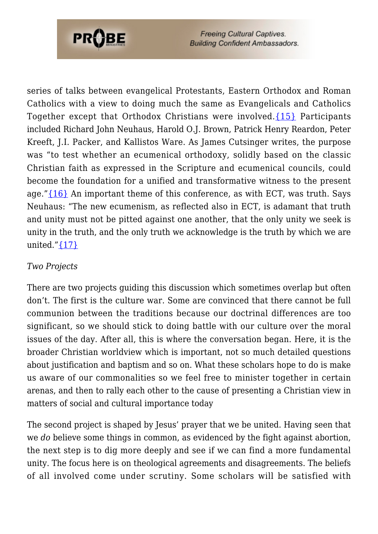

series of talks between evangelical Protestants, Eastern Orthodox and Roman Catholics with a view to doing much the same as Evangelicals and Catholics Together except that Orthodox Christians were involved.[{15}](#page-18-8) Participants included Richard John Neuhaus, Harold O.J. Brown, Patrick Henry Reardon, Peter Kreeft, J.I. Packer, and Kallistos Ware. As James Cutsinger writes, the purpose was "to test whether an ecumenical orthodoxy, solidly based on the classic Christian faith as expressed in the Scripture and ecumenical councils, could become the foundation for a unified and transformative witness to the present age." ${16}$  An important theme of this conference, as with ECT, was truth. Says Neuhaus: "The new ecumenism, as reflected also in ECT, is adamant that truth and unity must not be pitted against one another, that the only unity we seek is unity in the truth, and the only truth we acknowledge is the truth by which we are united." $\{17\}$ 

### *Two Projects*

There are two projects guiding this discussion which sometimes overlap but often don't. The first is the culture war. Some are convinced that there cannot be full communion between the traditions because our doctrinal differences are too significant, so we should stick to doing battle with our culture over the moral issues of the day. After all, this is where the conversation began. Here, it is the broader Christian worldview which is important, not so much detailed questions about justification and baptism and so on. What these scholars hope to do is make us aware of our commonalities so we feel free to minister together in certain arenas, and then to rally each other to the cause of presenting a Christian view in matters of social and cultural importance today

The second project is shaped by Jesus' prayer that we be united. Having seen that we *do* believe some things in common, as evidenced by the fight against abortion, the next step is to dig more deeply and see if we can find a more fundamental unity. The focus here is on theological agreements and disagreements. The beliefs of all involved come under scrutiny. Some scholars will be satisfied with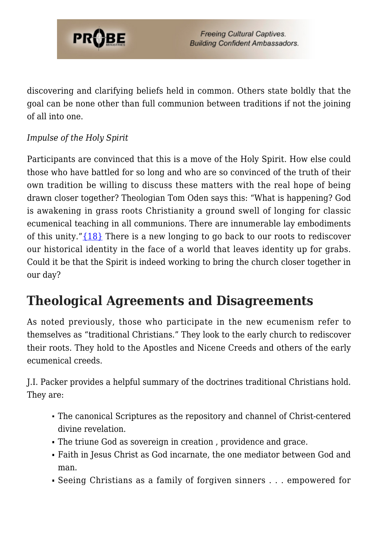

discovering and clarifying beliefs held in common. Others state boldly that the goal can be none other than full communion between traditions if not the joining of all into one.

# *Impulse of the Holy Spirit*

Participants are convinced that this is a move of the Holy Spirit. How else could those who have battled for so long and who are so convinced of the truth of their own tradition be willing to discuss these matters with the real hope of being drawn closer together? Theologian Tom Oden says this: "What is happening? God is awakening in grass roots Christianity a ground swell of longing for classic ecumenical teaching in all communions. There are innumerable lay embodiments of this unity."[{18}](#page-18-11) There is a new longing to go back to our roots to rediscover our historical identity in the face of a world that leaves identity up for grabs. Could it be that the Spirit is indeed working to bring the church closer together in our day?

# **Theological Agreements and Disagreements**

As noted previously, those who participate in the new ecumenism refer to themselves as "traditional Christians." They look to the early church to rediscover their roots. They hold to the Apostles and Nicene Creeds and others of the early ecumenical creeds.

J.I. Packer provides a helpful summary of the doctrines traditional Christians hold. They are:

- The canonical Scriptures as the repository and channel of Christ-centered divine revelation.
- The triune God as sovereign in creation , providence and grace.
- Faith in Jesus Christ as God incarnate, the one mediator between God and man.
- Seeing Christians as a family of forgiven sinners . . . empowered for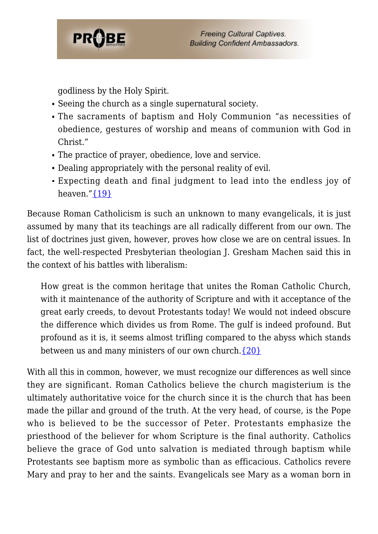

godliness by the Holy Spirit.

- Seeing the church as a single supernatural society.
- The sacraments of baptism and Holy Communion "as necessities of obedience, gestures of worship and means of communion with God in Christ."
- The practice of prayer, obedience, love and service.
- Dealing appropriately with the personal reality of evil.
- Expecting death and final judgment to lead into the endless joy of heaven." $\{19\}$

Because Roman Catholicism is such an unknown to many evangelicals, it is just assumed by many that its teachings are all radically different from our own. The list of doctrines just given, however, proves how close we are on central issues. In fact, the well-respected Presbyterian theologian J. Gresham Machen said this in the context of his battles with liberalism:

How great is the common heritage that unites the Roman Catholic Church, with it maintenance of the authority of Scripture and with it acceptance of the great early creeds, to devout Protestants today! We would not indeed obscure the difference which divides us from Rome. The gulf is indeed profound. But profound as it is, it seems almost trifling compared to the abyss which stands between us and many ministers of our own church[.{20}](#page-17-4)

With all this in common, however, we must recognize our differences as well since they are significant. Roman Catholics believe the church magisterium is the ultimately authoritative voice for the church since it is the church that has been made the pillar and ground of the truth. At the very head, of course, is the Pope who is believed to be the successor of Peter. Protestants emphasize the priesthood of the believer for whom Scripture is the final authority. Catholics believe the grace of God unto salvation is mediated through baptism while Protestants see baptism more as symbolic than as efficacious. Catholics revere Mary and pray to her and the saints. Evangelicals see Mary as a woman born in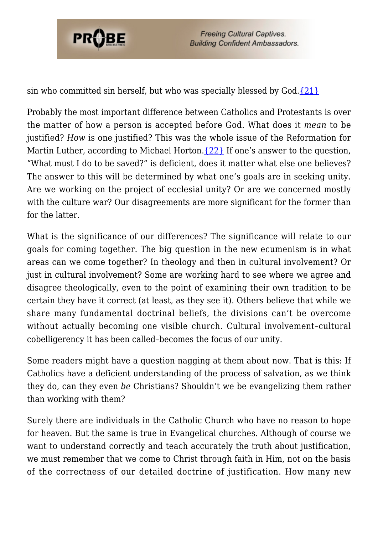

sin who committed sin herself, but who was specially blessed by  $God.$  [{21}](#page-18-13)

Probably the most important difference between Catholics and Protestants is over the matter of how a person is accepted before God. What does it *mean* to be justified? *How* is one justified? This was the whole issue of the Reformation for Martin Luther, according to Michael Horton.  $\{22\}$  If one's answer to the question, "What must I do to be saved?" is deficient, does it matter what else one believes? The answer to this will be determined by what one's goals are in seeking unity. Are we working on the project of ecclesial unity? Or are we concerned mostly with the culture war? Our disagreements are more significant for the former than for the latter.

What is the significance of our differences? The significance will relate to our goals for coming together. The big question in the new ecumenism is in what areas can we come together? In theology and then in cultural involvement? Or just in cultural involvement? Some are working hard to see where we agree and disagree theologically, even to the point of examining their own tradition to be certain they have it correct (at least, as they see it). Others believe that while we share many fundamental doctrinal beliefs, the divisions can't be overcome without actually becoming one visible church. Cultural involvement–cultural cobelligerency it has been called–becomes the focus of our unity.

Some readers might have a question nagging at them about now. That is this: If Catholics have a deficient understanding of the process of salvation, as we think they do, can they even *be* Christians? Shouldn't we be evangelizing them rather than working with them?

Surely there are individuals in the Catholic Church who have no reason to hope for heaven. But the same is true in Evangelical churches. Although of course we want to understand correctly and teach accurately the truth about justification, we must remember that we come to Christ through faith in Him, not on the basis of the correctness of our detailed doctrine of justification. How many new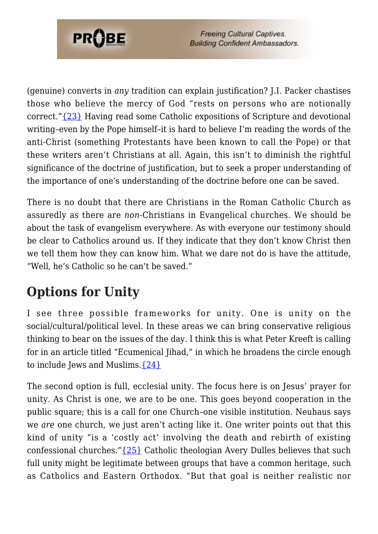

(genuine) converts in *any* tradition can explain justification? J.I. Packer chastises those who believe the mercy of God "rests on persons who are notionally correct."[{23}](#page-19-1) Having read some Catholic expositions of Scripture and devotional writing–even by the Pope himself–it is hard to believe I'm reading the words of the anti-Christ (something Protestants have been known to call the Pope) or that these writers aren't Christians at all. Again, this isn't to diminish the rightful significance of the doctrine of justification, but to seek a proper understanding of the importance of one's understanding of the doctrine before one can be saved.

There is no doubt that there are Christians in the Roman Catholic Church as assuredly as there are *non-*Christians in Evangelical churches. We should be about the task of evangelism everywhere. As with everyone our testimony should be clear to Catholics around us. If they indicate that they don't know Christ then we tell them how they can know him. What we dare not do is have the attitude, "Well, he's Catholic so he can't be saved."

# **Options for Unity**

I see three possible frameworks for unity. One is unity on the social/cultural/political level. In these areas we can bring conservative religious thinking to bear on the issues of the day. I think this is what Peter Kreeft is calling for in an article titled "Ecumenical Jihad," in which he broadens the circle enough to include Jews and Muslims.[{24}](#page-19-2)

The second option is full, ecclesial unity. The focus here is on Jesus' prayer for unity. As Christ is one, we are to be one. This goes beyond cooperation in the public square; this is a call for one Church–one visible institution. Neuhaus says we *are* one church, we just aren't acting like it. One writer points out that this kind of unity "is a 'costly act' involving the death and rebirth of existing confessional churches." ${25}$  Catholic theologian Avery Dulles believes that such full unity might be legitimate between groups that have a common heritage, such as Catholics and Eastern Orthodox. "But that goal is neither realistic nor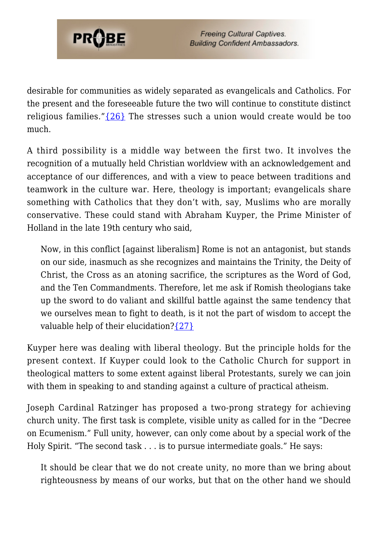

desirable for communities as widely separated as evangelicals and Catholics. For the present and the foreseeable future the two will continue to constitute distinct religious families."[{26}](#page-19-4) The stresses such a union would create would be too much.

A third possibility is a middle way between the first two. It involves the recognition of a mutually held Christian worldview with an acknowledgement and acceptance of our differences, and with a view to peace between traditions and teamwork in the culture war. Here, theology is important; evangelicals share something with Catholics that they don't with, say, Muslims who are morally conservative. These could stand with Abraham Kuyper, the Prime Minister of Holland in the late 19th century who said,

Now, in this conflict [against liberalism] Rome is not an antagonist, but stands on our side, inasmuch as she recognizes and maintains the Trinity, the Deity of Christ, the Cross as an atoning sacrifice, the scriptures as the Word of God, and the Ten Commandments. Therefore, let me ask if Romish theologians take up the sword to do valiant and skillful battle against the same tendency that we ourselves mean to fight to death, is it not the part of wisdom to accept the valuable help of their elucidation? $\{27\}$ 

Kuyper here was dealing with liberal theology. But the principle holds for the present context. If Kuyper could look to the Catholic Church for support in theological matters to some extent against liberal Protestants, surely we can join with them in speaking to and standing against a culture of practical atheism.

Joseph Cardinal Ratzinger has proposed a two-prong strategy for achieving church unity. The first task is complete, visible unity as called for in the "Decree on Ecumenism." Full unity, however, can only come about by a special work of the Holy Spirit. "The second task . . . is to pursue intermediate goals." He says:

It should be clear that we do not create unity, no more than we bring about righteousness by means of our works, but that on the other hand we should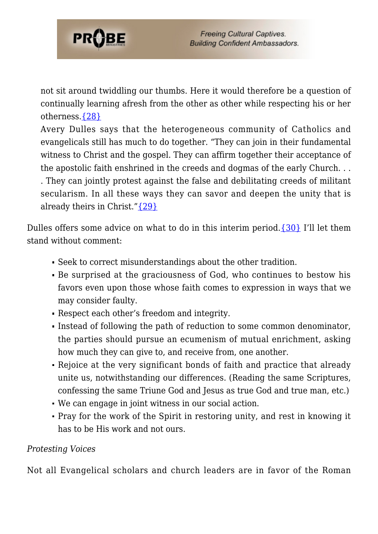

not sit around twiddling our thumbs. Here it would therefore be a question of continually learning afresh from the other as other while respecting his or her otherness[.{28}](#page-19-6)

Avery Dulles says that the heterogeneous community of Catholics and evangelicals still has much to do together. "They can join in their fundamental witness to Christ and the gospel. They can affirm together their acceptance of the apostolic faith enshrined in the creeds and dogmas of the early Church. . . . They can jointly protest against the false and debilitating creeds of militant secularism. In all these ways they can savor and deepen the unity that is already theirs in Christ." $\{29\}$ 

Dulles offers some advice on what to do in this interim period.  $\{30\}$  I'll let them stand without comment:

- Seek to correct misunderstandings about the other tradition.
- Be surprised at the graciousness of God, who continues to bestow his favors even upon those whose faith comes to expression in ways that we may consider faulty.
- Respect each other's freedom and integrity.
- Instead of following the path of reduction to some common denominator, the parties should pursue an ecumenism of mutual enrichment, asking how much they can give to, and receive from, one another.
- Rejoice at the very significant bonds of faith and practice that already unite us, notwithstanding our differences. (Reading the same Scriptures, confessing the same Triune God and Jesus as true God and true man, etc.)
- We can engage in joint witness in our social action.
- Pray for the work of the Spirit in restoring unity, and rest in knowing it has to be His work and not ours.

## *Protesting Voices*

Not all Evangelical scholars and church leaders are in favor of the Roman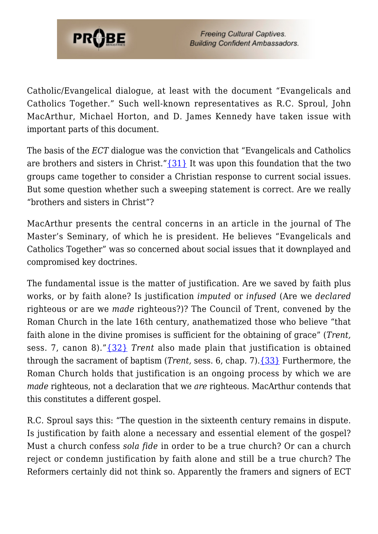

Catholic/Evangelical dialogue, at least with the document "Evangelicals and Catholics Together." Such well-known representatives as R.C. Sproul, John MacArthur, Michael Horton, and D. James Kennedy have taken issue with important parts of this document.

The basis of the *ECT* dialogue was the conviction that "Evangelicals and Catholics are brothers and sisters in Christ." $\{31\}$  It was upon this foundation that the two groups came together to consider a Christian response to current social issues. But some question whether such a sweeping statement is correct. Are we really "brothers and sisters in Christ"?

MacArthur presents the central concerns in an article in the journal of The Master's Seminary, of which he is president. He believes "Evangelicals and Catholics Together" was so concerned about social issues that it downplayed and compromised key doctrines.

The fundamental issue is the matter of justification. Are we saved by faith plus works, or by faith alone? Is justification *imputed* or *infused* (Are we *declared* righteous or are we *made* righteous?)? The Council of Trent, convened by the Roman Church in the late 16th century, anathematized those who believe "that faith alone in the divine promises is sufficient for the obtaining of grace" (*Trent,* sess. 7, canon 8)."[{32}](#page-19-10) *Trent* also made plain that justification is obtained through the sacrament of baptism (*Trent,* sess. 6, chap. 7).[{33}](#page-19-11) Furthermore, the Roman Church holds that justification is an ongoing process by which we are *made* righteous, not a declaration that we *are* righteous. MacArthur contends that this constitutes a different gospel.

R.C. Sproul says this: "The question in the sixteenth century remains in dispute. Is justification by faith alone a necessary and essential element of the gospel? Must a church confess *sola fide* in order to be a true church? Or can a church reject or condemn justification by faith alone and still be a true church? The Reformers certainly did not think so. Apparently the framers and signers of ECT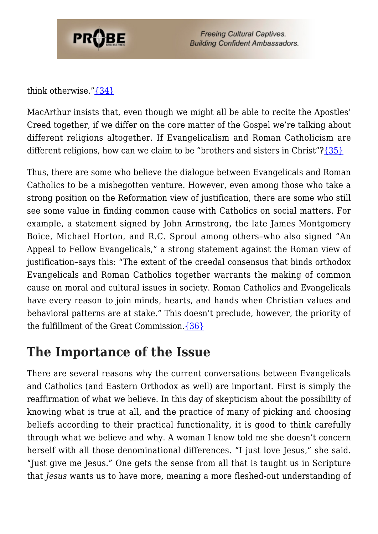

think otherwise."[{34}](#page-19-12)

MacArthur insists that, even though we might all be able to recite the Apostles' Creed together, if we differ on the core matter of the Gospel we're talking about different religions altogether. If Evangelicalism and Roman Catholicism are different religions, how can we claim to be "brothers and sisters in Christ"[?{35}](#page-19-13)

Thus, there are some who believe the dialogue between Evangelicals and Roman Catholics to be a misbegotten venture. However, even among those who take a strong position on the Reformation view of justification, there are some who still see some value in finding common cause with Catholics on social matters. For example, a statement signed by John Armstrong, the late James Montgomery Boice, Michael Horton, and R.C. Sproul among others–who also signed "An Appeal to Fellow Evangelicals," a strong statement against the Roman view of justification–says this: "The extent of the creedal consensus that binds orthodox Evangelicals and Roman Catholics together warrants the making of common cause on moral and cultural issues in society. Roman Catholics and Evangelicals have every reason to join minds, hearts, and hands when Christian values and behavioral patterns are at stake." This doesn't preclude, however, the priority of the fulfillment of the Great Commission.[{36}](#page-20-0)

# **The Importance of the Issue**

There are several reasons why the current conversations between Evangelicals and Catholics (and Eastern Orthodox as well) are important. First is simply the reaffirmation of what we believe. In this day of skepticism about the possibility of knowing what is true at all, and the practice of many of picking and choosing beliefs according to their practical functionality, it is good to think carefully through what we believe and why. A woman I know told me she doesn't concern herself with all those denominational differences. "I just love Jesus," she said. "Just give me Jesus." One gets the sense from all that is taught us in Scripture that *Jesus* wants us to have more, meaning a more fleshed-out understanding of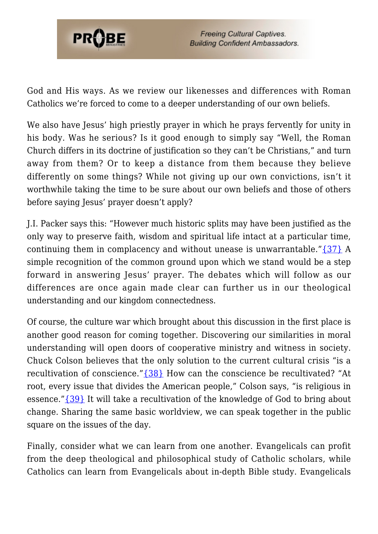

God and His ways. As we review our likenesses and differences with Roman Catholics we're forced to come to a deeper understanding of our own beliefs.

We also have Jesus' high priestly prayer in which he prays fervently for unity in his body. Was he serious? Is it good enough to simply say "Well, the Roman Church differs in its doctrine of justification so they can't be Christians," and turn away from them? Or to keep a distance from them because they believe differently on some things? While not giving up our own convictions, isn't it worthwhile taking the time to be sure about our own beliefs and those of others before saying Jesus' prayer doesn't apply?

J.I. Packer says this: "However much historic splits may have been justified as the only way to preserve faith, wisdom and spiritual life intact at a particular time, continuing them in complacency and without unease is unwarrantable." $\{37\}$  A simple recognition of the common ground upon which we stand would be a step forward in answering Jesus' prayer. The debates which will follow as our differences are once again made clear can further us in our theological understanding and our kingdom connectedness.

Of course, the culture war which brought about this discussion in the first place is another good reason for coming together. Discovering our similarities in moral understanding will open doors of cooperative ministry and witness in society. Chuck Colson believes that the only solution to the current cultural crisis "is a recultivation of conscience."[{38}](#page-20-2) How can the conscience be recultivated? "At root, every issue that divides the American people," Colson says, "is religious in essence." {39} It will take a recultivation of the knowledge of God to bring about change. Sharing the same basic worldview, we can speak together in the public square on the issues of the day.

Finally, consider what we can learn from one another. Evangelicals can profit from the deep theological and philosophical study of Catholic scholars, while Catholics can learn from Evangelicals about in-depth Bible study. Evangelicals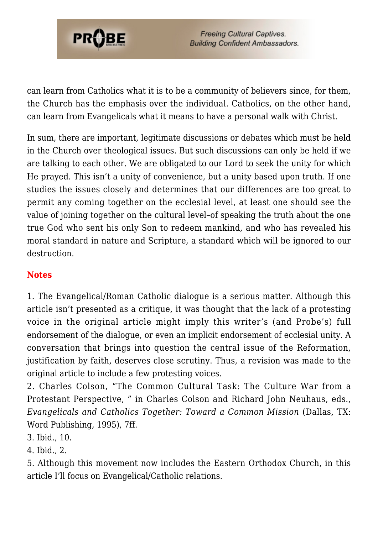

can learn from Catholics what it is to be a community of believers since, for them, the Church has the emphasis over the individual. Catholics, on the other hand, can learn from Evangelicals what it means to have a personal walk with Christ.

In sum, there are important, legitimate discussions or debates which must be held in the Church over theological issues. But such discussions can only be held if we are talking to each other. We are obligated to our Lord to seek the unity for which He prayed. This isn't a unity of convenience, but a unity based upon truth. If one studies the issues closely and determines that our differences are too great to permit any coming together on the ecclesial level, at least one should see the value of joining together on the cultural level–of speaking the truth about the one true God who sent his only Son to redeem mankind, and who has revealed his moral standard in nature and Scripture, a standard which will be ignored to our destruction.

## **Notes**

<span id="page-17-4"></span>1. The Evangelical/Roman Catholic dialogue is a serious matter. Although this article isn't presented as a critique, it was thought that the lack of a protesting voice in the original article might imply this writer's (and Probe's) full endorsement of the dialogue, or even an implicit endorsement of ecclesial unity. A conversation that brings into question the central issue of the Reformation, justification by faith, deserves close scrutiny. Thus, a revision was made to the original article to include a few protesting voices.

<span id="page-17-0"></span>2. Charles Colson, "The Common Cultural Task: The Culture War from a Protestant Perspective, " in Charles Colson and Richard John Neuhaus, eds., *Evangelicals and Catholics Together: Toward a Common Mission* (Dallas, TX: Word Publishing, 1995), 7ff.

3. Ibid., 10.

<span id="page-17-1"></span>4. Ibid., 2.

<span id="page-17-3"></span><span id="page-17-2"></span>5. Although this movement now includes the Eastern Orthodox Church, in this article I'll focus on Evangelical/Catholic relations.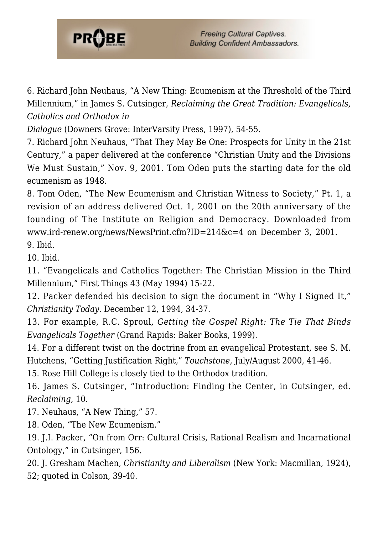

6. Richard John Neuhaus, "A New Thing: Ecumenism at the Threshold of the Third Millennium," in James S. Cutsinger, *Reclaiming the Great Tradition: Evangelicals, Catholics and Orthodox in*

*Dialogue* (Downers Grove: InterVarsity Press, 1997), 54-55.

<span id="page-18-0"></span>7. Richard John Neuhaus, "That They May Be One: Prospects for Unity in the 21st Century," a paper delivered at the conference "Christian Unity and the Divisions We Must Sustain," Nov. 9, 2001. Tom Oden puts the starting date for the old ecumenism as 1948.

<span id="page-18-1"></span>8. Tom Oden, "The New Ecumenism and Christian Witness to Society," Pt. 1, a revision of an address delivered Oct. 1, 2001 on the 20th anniversary of the founding of The Institute on Religion and Democracy. Downloaded from www.ird-renew.org/news/NewsPrint.cfm?ID=214&c=4 on December 3, 2001. 9. Ibid.

<span id="page-18-3"></span><span id="page-18-2"></span>10. Ibid.

<span id="page-18-4"></span>11. "Evangelicals and Catholics Together: The Christian Mission in the Third Millennium," First Things 43 (May 1994) 15-22.

<span id="page-18-5"></span>12. Packer defended his decision to sign the document in "Why I Signed It," *Christianity Today*. December 12, 1994, 34-37.

<span id="page-18-6"></span>13. For example, R.C. Sproul, *Getting the Gospel Right: The Tie That Binds Evangelicals Together* (Grand Rapids: Baker Books, 1999).

<span id="page-18-7"></span>14. For a different twist on the doctrine from an evangelical Protestant, see S. M. Hutchens, "Getting Justification Right," *Touchstone*, July/August 2000, 41-46.

<span id="page-18-8"></span>15. Rose Hill College is closely tied to the Orthodox tradition.

<span id="page-18-9"></span>16. James S. Cutsinger, "Introduction: Finding the Center, in Cutsinger, ed. *Reclaiming*, 10.

<span id="page-18-10"></span>17. Neuhaus, "A New Thing," 57.

<span id="page-18-11"></span>18. Oden, "The New Ecumenism."

<span id="page-18-12"></span>19. J.I. Packer, "On from Orr: Cultural Crisis, Rational Realism and Incarnational Ontology," in Cutsinger, 156.

<span id="page-18-13"></span>20. J. Gresham Machen, *Christianity and Liberalism* (New York: Macmillan, 1924), 52; quoted in Colson, 39-40.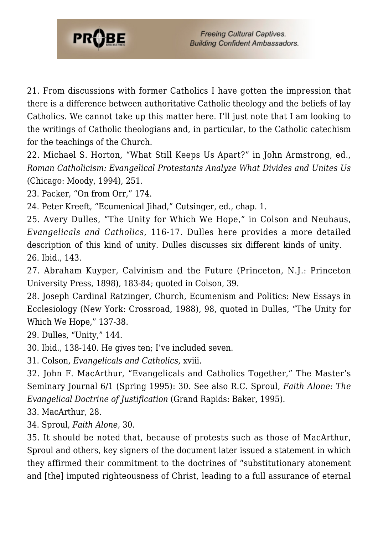

21. From discussions with former Catholics I have gotten the impression that there is a difference between authoritative Catholic theology and the beliefs of lay Catholics. We cannot take up this matter here. I'll just note that I am looking to the writings of Catholic theologians and, in particular, to the Catholic catechism for the teachings of the Church.

<span id="page-19-0"></span>22. Michael S. Horton, "What Still Keeps Us Apart?" in John Armstrong, ed., *Roman Catholicism: Evangelical Protestants Analyze What Divides and Unites Us* (Chicago: Moody, 1994), 251.

<span id="page-19-1"></span>23. Packer, "On from Orr," 174.

<span id="page-19-2"></span>24. Peter Kreeft, "Ecumenical Jihad," Cutsinger, ed., chap. 1.

<span id="page-19-3"></span>25. Avery Dulles, "The Unity for Which We Hope," in Colson and Neuhaus, *Evangelicals and Catholics*, 116-17. Dulles here provides a more detailed description of this kind of unity. Dulles discusses six different kinds of unity. 26. Ibid., 143.

<span id="page-19-5"></span><span id="page-19-4"></span>27. Abraham Kuyper, Calvinism and the Future (Princeton, N.J.: Princeton University Press, 1898), 183-84; quoted in Colson, 39.

<span id="page-19-6"></span>28. Joseph Cardinal Ratzinger, Church, Ecumenism and Politics: New Essays in Ecclesiology (New York: Crossroad, 1988), 98, quoted in Dulles, "The Unity for Which We Hope," 137-38.

<span id="page-19-7"></span>29. Dulles, "Unity," 144.

<span id="page-19-8"></span>30. Ibid., 138-140. He gives ten; I've included seven.

<span id="page-19-9"></span>31. Colson, *Evangelicals and Catholics,* xviii.

<span id="page-19-10"></span>32. John F. MacArthur, "Evangelicals and Catholics Together," The Master's Seminary Journal 6/1 (Spring 1995): 30. See also R.C. Sproul, *Faith Alone: The Evangelical Doctrine of Justification* (Grand Rapids: Baker, 1995).

<span id="page-19-11"></span>33. MacArthur, 28.

<span id="page-19-12"></span>34. Sproul, *Faith Alone,* 30.

<span id="page-19-13"></span>35. It should be noted that, because of protests such as those of MacArthur, Sproul and others, key signers of the document later issued a statement in which they affirmed their commitment to the doctrines of "substitutionary atonement and [the] imputed righteousness of Christ, leading to a full assurance of eternal